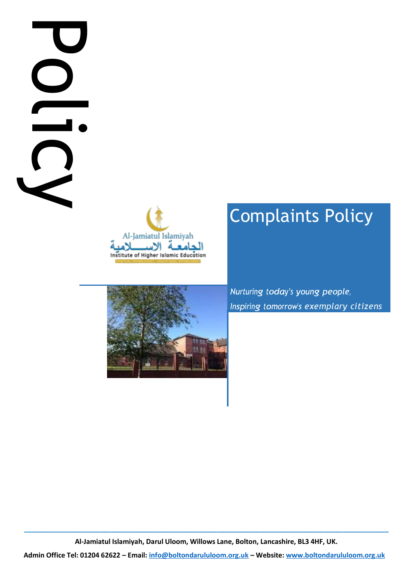# **Administrational Complaints Policy**<br>
Administrational Complaints Policy<br>
Administrational Complete Telescope Systems are exampled y distances<br> **Administrational Complete Telescope Complete Telescope Systems** are exampled





# Complaints Policy

*Inspiring tomorrow's exemplary citizens* 

**\_\_\_\_\_\_\_\_\_\_\_\_\_\_\_\_\_\_\_\_\_\_\_\_\_\_\_\_\_\_\_\_\_\_\_\_\_\_\_\_\_\_\_\_\_\_\_\_\_\_\_\_\_\_\_\_\_\_\_\_\_\_\_\_\_\_\_\_\_\_\_\_\_\_\_\_\_\_\_\_\_\_\_\_\_\_\_\_\_\_\_\_\_\_\_\_ Al-Jamiatul Islamiyah, Darul Uloom, Willows Lane, Bolton, Lancashire, BL3 4HF, UK.**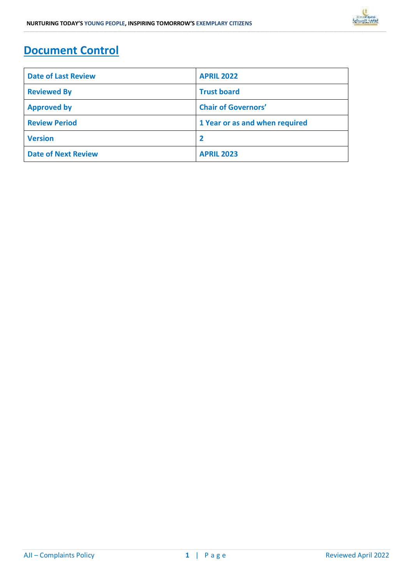## **Document Control**

| <b>Date of Last Review</b> | <b>APRIL 2022</b>              |
|----------------------------|--------------------------------|
| <b>Reviewed By</b>         | <b>Trust board</b>             |
| <b>Approved by</b>         | <b>Chair of Governors'</b>     |
| <b>Review Period</b>       | 1 Year or as and when required |
| <b>Version</b>             |                                |
| <b>Date of Next Review</b> | <b>APRIL 2023</b>              |

**\_\_\_\_\_\_\_\_\_\_\_\_\_\_\_\_\_\_\_\_\_\_\_\_\_\_\_\_\_\_\_\_\_\_\_\_\_\_\_\_\_\_\_\_\_\_\_\_\_\_\_\_\_\_\_\_\_\_\_\_\_\_\_\_\_\_\_\_\_\_\_\_\_\_\_\_\_\_\_\_\_\_\_\_\_\_\_\_\_\_\_\_\_\_\_\_\_\_\_\_\_\_\_\_\_\_\_\_\_\_\_\_\_\_\_\_\_\_\_\_\_\_\_\_\_\_\_\_\_\_\_\_\_\_\_\_\_\_\_\_\_\_\_\_\_\_\_\_\_\_\_\_\_\_\_\_\_\_\_\_\_\_\_\_\_\_\_\_\_\_\_\_\_\_\_\_\_\_\_\_\_\_\_\_\_\_\_\_\_\_\_\_\_\_\_\_\_\_\_\_\_\_\_\_\_\_\_\_\_\_\_\_\_\_\_\_\_\_\_\_\_\_\_\_\_\_\_\_\_\_\_\_\_\_\_\_\_\_\_\_\_\_\_\_\_\_\_\_\_\_\_\_\_\_\_\_\_\_\_\_\_\_\_\_\_\_\_\_\_\_\_\_\_\_\_\_\_\_\_\_\_\_\_\_\_\_\_\_\_\_\_\_\_\_\_\_\_\_\_\_\_\_\_\_\_\_\_\_\_\_\_\_\_\_\_\_\_\_\_\_\_\_\_\_\_\_\_\_\_\_\_\_\_\_\_\_\_\_\_\_\_\_\_\_\_\_\_\_\_\_**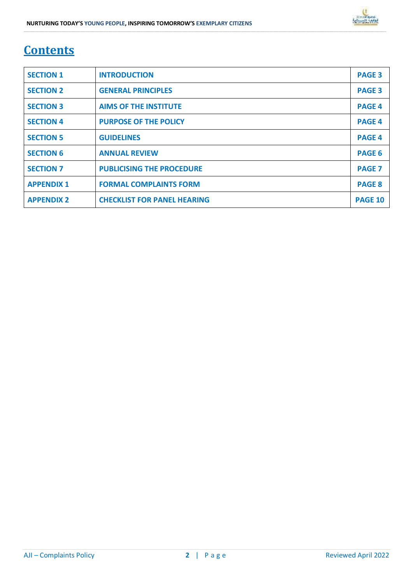# **Contents**

| <b>SECTION 1</b>  | <b>INTRODUCTION</b>                | <b>PAGE 3</b>  |
|-------------------|------------------------------------|----------------|
| <b>SECTION 2</b>  | <b>GENERAL PRINCIPLES</b>          | <b>PAGE 3</b>  |
| <b>SECTION 3</b>  | <b>AIMS OF THE INSTITUTE</b>       | <b>PAGE 4</b>  |
| <b>SECTION 4</b>  | <b>PURPOSE OF THE POLICY</b>       | <b>PAGE 4</b>  |
| <b>SECTION 5</b>  | <b>GUIDELINES</b>                  | <b>PAGE 4</b>  |
| <b>SECTION 6</b>  | <b>ANNUAL REVIEW</b>               | PAGE 6         |
| <b>SECTION 7</b>  | <b>PUBLICISING THE PROCEDURE</b>   | <b>PAGE 7</b>  |
| <b>APPENDIX 1</b> | <b>FORMAL COMPLAINTS FORM</b>      | <b>PAGE 8</b>  |
| <b>APPENDIX 2</b> | <b>CHECKLIST FOR PANEL HEARING</b> | <b>PAGE 10</b> |

**\_\_\_\_\_\_\_\_\_\_\_\_\_\_\_\_\_\_\_\_\_\_\_\_\_\_\_\_\_\_\_\_\_\_\_\_\_\_\_\_\_\_\_\_\_\_\_\_\_\_\_\_\_\_\_\_\_\_\_\_\_\_\_\_\_\_\_\_\_\_\_\_\_\_\_\_\_\_\_\_\_\_\_\_\_\_\_\_\_\_\_\_\_\_\_\_\_\_\_\_\_\_\_\_\_\_\_\_\_\_\_\_\_\_\_\_\_\_\_\_\_\_\_\_\_\_\_\_\_\_\_\_\_\_\_\_\_\_\_\_\_\_\_\_\_\_\_\_\_\_\_\_\_\_\_\_\_\_\_\_\_\_\_\_\_\_\_\_\_\_\_\_\_\_\_\_\_\_\_\_\_\_\_\_\_\_\_\_\_\_\_\_\_\_\_\_\_\_\_\_\_\_\_\_\_\_\_\_\_\_\_\_\_\_\_\_\_\_\_\_\_\_\_\_\_\_\_\_\_\_\_\_\_\_\_\_\_\_\_\_\_\_\_\_\_\_\_\_\_\_\_\_\_\_\_\_\_\_\_\_\_\_\_\_\_\_\_\_\_\_\_\_\_\_\_\_\_\_\_\_\_\_\_\_\_\_\_\_\_\_\_\_\_\_\_\_\_\_\_\_\_\_\_\_\_\_\_\_\_\_\_\_\_\_\_\_\_\_\_\_\_\_\_\_\_\_\_\_\_\_\_\_\_\_\_\_\_\_\_\_\_\_\_\_\_\_\_\_\_\_**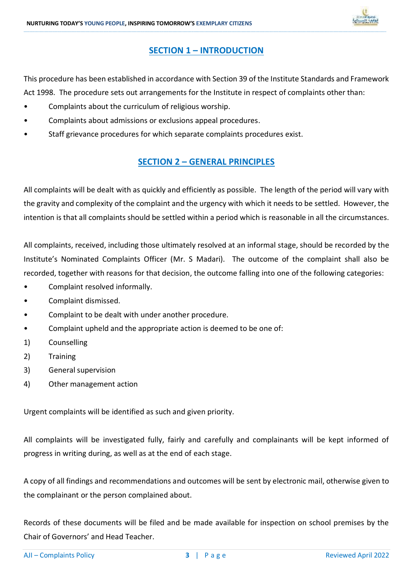

### **SECTION 1 – INTRODUCTION**

**\_\_\_\_\_\_\_\_\_\_\_\_\_\_\_\_\_\_\_\_\_\_\_\_\_\_\_\_\_\_\_\_\_\_\_\_\_\_\_\_\_\_\_\_\_\_\_\_\_\_\_\_\_\_\_\_\_\_\_\_\_\_\_\_\_\_\_\_\_\_\_\_\_\_\_\_\_\_\_\_\_\_\_\_\_\_\_\_\_\_\_\_\_\_\_\_\_\_\_\_\_\_\_\_\_\_\_\_\_\_\_\_\_\_\_\_\_\_\_\_\_\_\_\_\_\_\_\_\_\_\_\_\_\_\_\_\_\_\_\_\_\_\_\_\_\_\_\_\_\_\_\_\_\_\_\_\_\_\_\_\_\_\_\_\_\_\_\_\_\_\_\_\_\_\_\_\_\_\_\_\_\_\_\_\_\_\_\_\_\_\_\_\_\_\_\_\_\_\_\_\_\_\_\_\_\_\_\_\_\_\_\_\_\_\_\_\_\_\_\_\_\_\_\_\_\_\_\_\_\_\_\_\_\_\_\_\_\_\_\_\_\_\_\_\_\_\_\_\_\_\_\_\_\_\_\_\_\_\_\_\_\_\_\_\_\_\_\_\_\_\_\_\_\_\_\_\_\_\_\_\_\_\_\_\_\_\_\_\_\_\_\_\_\_\_\_\_\_\_\_\_\_\_\_\_\_\_\_\_\_\_\_\_\_\_\_\_\_\_\_\_\_\_\_\_\_\_\_\_\_\_\_\_\_\_\_\_\_\_\_\_\_\_\_\_\_\_\_\_\_**

This procedure has been established in accordance with Section 39 of the Institute Standards and Framework Act 1998. The procedure sets out arrangements for the Institute in respect of complaints other than:

- Complaints about the curriculum of religious worship.
- Complaints about admissions or exclusions appeal procedures.
- Staff grievance procedures for which separate complaints procedures exist.

### **SECTION 2 – GENERAL PRINCIPLES**

All complaints will be dealt with as quickly and efficiently as possible. The length of the period will vary with the gravity and complexity of the complaint and the urgency with which it needs to be settled. However, the intention is that all complaints should be settled within a period which is reasonable in all the circumstances.

All complaints, received, including those ultimately resolved at an informal stage, should be recorded by the Institute's Nominated Complaints Officer (Mr. S Madari). The outcome of the complaint shall also be recorded, together with reasons for that decision, the outcome falling into one of the following categories:

- Complaint resolved informally.
- Complaint dismissed.
- Complaint to be dealt with under another procedure.
- Complaint upheld and the appropriate action is deemed to be one of:
- 1) Counselling
- 2) Training
- 3) General supervision
- 4) Other management action

Urgent complaints will be identified as such and given priority.

All complaints will be investigated fully, fairly and carefully and complainants will be kept informed of progress in writing during, as well as at the end of each stage.

A copy of all findings and recommendations and outcomes will be sent by electronic mail, otherwise given to the complainant or the person complained about.

Records of these documents will be filed and be made available for inspection on school premises by the Chair of Governors' and Head Teacher.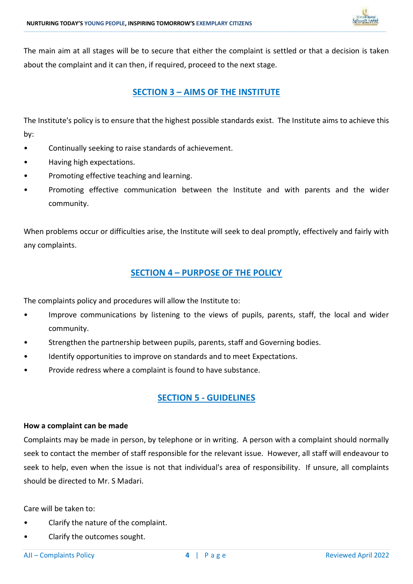

The main aim at all stages will be to secure that either the complaint is settled or that a decision is taken about the complaint and it can then, if required, proceed to the next stage.

**\_\_\_\_\_\_\_\_\_\_\_\_\_\_\_\_\_\_\_\_\_\_\_\_\_\_\_\_\_\_\_\_\_\_\_\_\_\_\_\_\_\_\_\_\_\_\_\_\_\_\_\_\_\_\_\_\_\_\_\_\_\_\_\_\_\_\_\_\_\_\_\_\_\_\_\_\_\_\_\_\_\_\_\_\_\_\_\_\_\_\_\_\_\_\_\_\_\_\_\_\_\_\_\_\_\_\_\_\_\_\_\_\_\_\_\_\_\_\_\_\_\_\_\_\_\_\_\_\_\_\_\_\_\_\_\_\_\_\_\_\_\_\_\_\_\_\_\_\_\_\_\_\_\_\_\_\_\_\_\_\_\_\_\_\_\_\_\_\_\_\_\_\_\_\_\_\_\_\_\_\_\_\_\_\_\_\_\_\_\_\_\_\_\_\_\_\_\_\_\_\_\_\_\_\_\_\_\_\_\_\_\_\_\_\_\_\_\_\_\_\_\_\_\_\_\_\_\_\_\_\_\_\_\_\_\_\_\_\_\_\_\_\_\_\_\_\_\_\_\_\_\_\_\_\_\_\_\_\_\_\_\_\_\_\_\_\_\_\_\_\_\_\_\_\_\_\_\_\_\_\_\_\_\_\_\_\_\_\_\_\_\_\_\_\_\_\_\_\_\_\_\_\_\_\_\_\_\_\_\_\_\_\_\_\_\_\_\_\_\_\_\_\_\_\_\_\_\_\_\_\_\_\_\_\_\_\_\_\_\_\_\_\_\_\_\_\_\_\_\_**

### **SECTION 3 – AIMS OF THE INSTITUTE**

The Institute's policy is to ensure that the highest possible standards exist. The Institute aims to achieve this by:

- Continually seeking to raise standards of achievement.
- Having high expectations.
- Promoting effective teaching and learning.
- Promoting effective communication between the Institute and with parents and the wider community.

When problems occur or difficulties arise, the Institute will seek to deal promptly, effectively and fairly with any complaints.

### **SECTION 4 – PURPOSE OF THE POLICY**

The complaints policy and procedures will allow the Institute to:

- Improve communications by listening to the views of pupils, parents, staff, the local and wider community.
- Strengthen the partnership between pupils, parents, staff and Governing bodies.
- Identify opportunities to improve on standards and to meet Expectations.
- Provide redress where a complaint is found to have substance.

### **SECTION 5 - GUIDELINES**

### **How a complaint can be made**

Complaints may be made in person, by telephone or in writing. A person with a complaint should normally seek to contact the member of staff responsible for the relevant issue. However, all staff will endeavour to seek to help, even when the issue is not that individual's area of responsibility. If unsure, all complaints should be directed to Mr. S Madari.

Care will be taken to:

- Clarify the nature of the complaint.
- Clarify the outcomes sought.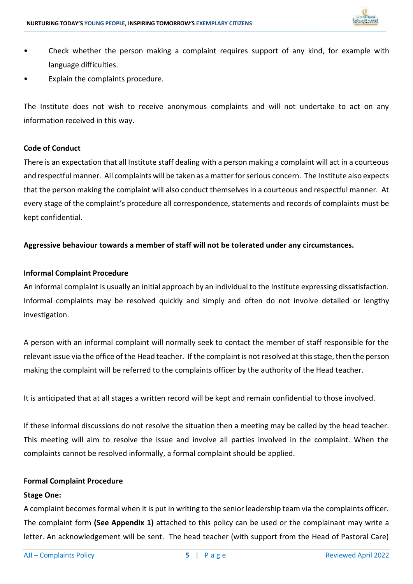

• Check whether the person making a complaint requires support of any kind, for example with language difficulties.

**\_\_\_\_\_\_\_\_\_\_\_\_\_\_\_\_\_\_\_\_\_\_\_\_\_\_\_\_\_\_\_\_\_\_\_\_\_\_\_\_\_\_\_\_\_\_\_\_\_\_\_\_\_\_\_\_\_\_\_\_\_\_\_\_\_\_\_\_\_\_\_\_\_\_\_\_\_\_\_\_\_\_\_\_\_\_\_\_\_\_\_\_\_\_\_\_\_\_\_\_\_\_\_\_\_\_\_\_\_\_\_\_\_\_\_\_\_\_\_\_\_\_\_\_\_\_\_\_\_\_\_\_\_\_\_\_\_\_\_\_\_\_\_\_\_\_\_\_\_\_\_\_\_\_\_\_\_\_\_\_\_\_\_\_\_\_\_\_\_\_\_\_\_\_\_\_\_\_\_\_\_\_\_\_\_\_\_\_\_\_\_\_\_\_\_\_\_\_\_\_\_\_\_\_\_\_\_\_\_\_\_\_\_\_\_\_\_\_\_\_\_\_\_\_\_\_\_\_\_\_\_\_\_\_\_\_\_\_\_\_\_\_\_\_\_\_\_\_\_\_\_\_\_\_\_\_\_\_\_\_\_\_\_\_\_\_\_\_\_\_\_\_\_\_\_\_\_\_\_\_\_\_\_\_\_\_\_\_\_\_\_\_\_\_\_\_\_\_\_\_\_\_\_\_\_\_\_\_\_\_\_\_\_\_\_\_\_\_\_\_\_\_\_\_\_\_\_\_\_\_\_\_\_\_\_\_\_\_\_\_\_\_\_\_\_\_\_\_\_\_**

Explain the complaints procedure.

The Institute does not wish to receive anonymous complaints and will not undertake to act on any information received in this way.

### **Code of Conduct**

There is an expectation that all Institute staff dealing with a person making a complaint will act in a courteous and respectful manner. All complaints will be taken as a matter for serious concern. The Institute also expects that the person making the complaint will also conduct themselves in a courteous and respectful manner. At every stage of the complaint's procedure all correspondence, statements and records of complaints must be kept confidential.

### **Aggressive behaviour towards a member of staff will not be tolerated under any circumstances.**

### **Informal Complaint Procedure**

An informal complaint is usually an initial approach by an individual to the Institute expressing dissatisfaction. Informal complaints may be resolved quickly and simply and often do not involve detailed or lengthy investigation.

A person with an informal complaint will normally seek to contact the member of staff responsible for the relevant issue via the office of the Head teacher. If the complaint is not resolved at this stage, then the person making the complaint will be referred to the complaints officer by the authority of the Head teacher.

It is anticipated that at all stages a written record will be kept and remain confidential to those involved.

If these informal discussions do not resolve the situation then a meeting may be called by the head teacher. This meeting will aim to resolve the issue and involve all parties involved in the complaint. When the complaints cannot be resolved informally, a formal complaint should be applied.

### **Formal Complaint Procedure**

### **Stage One:**

A complaint becomes formal when it is put in writing to the senior leadership team via the complaints officer. The complaint form **(See Appendix 1)** attached to this policy can be used or the complainant may write a letter. An acknowledgement will be sent. The head teacher (with support from the Head of Pastoral Care)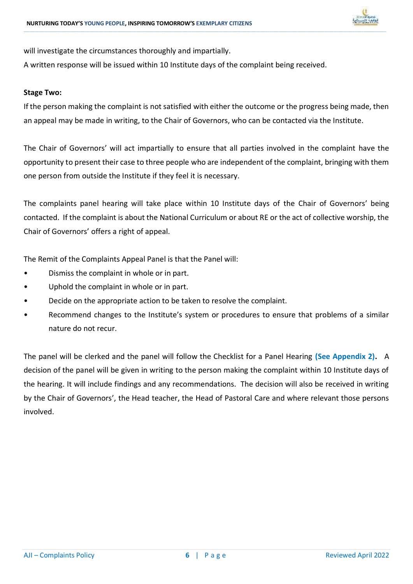

will investigate the circumstances thoroughly and impartially.

A written response will be issued within 10 Institute days of the complaint being received.

### **Stage Two:**

If the person making the complaint is not satisfied with either the outcome or the progress being made, then an appeal may be made in writing, to the Chair of Governors, who can be contacted via the Institute.

**\_\_\_\_\_\_\_\_\_\_\_\_\_\_\_\_\_\_\_\_\_\_\_\_\_\_\_\_\_\_\_\_\_\_\_\_\_\_\_\_\_\_\_\_\_\_\_\_\_\_\_\_\_\_\_\_\_\_\_\_\_\_\_\_\_\_\_\_\_\_\_\_\_\_\_\_\_\_\_\_\_\_\_\_\_\_\_\_\_\_\_\_\_\_\_\_\_\_\_\_\_\_\_\_\_\_\_\_\_\_\_\_\_\_\_\_\_\_\_\_\_\_\_\_\_\_\_\_\_\_\_\_\_\_\_\_\_\_\_\_\_\_\_\_\_\_\_\_\_\_\_\_\_\_\_\_\_\_\_\_\_\_\_\_\_\_\_\_\_\_\_\_\_\_\_\_\_\_\_\_\_\_\_\_\_\_\_\_\_\_\_\_\_\_\_\_\_\_\_\_\_\_\_\_\_\_\_\_\_\_\_\_\_\_\_\_\_\_\_\_\_\_\_\_\_\_\_\_\_\_\_\_\_\_\_\_\_\_\_\_\_\_\_\_\_\_\_\_\_\_\_\_\_\_\_\_\_\_\_\_\_\_\_\_\_\_\_\_\_\_\_\_\_\_\_\_\_\_\_\_\_\_\_\_\_\_\_\_\_\_\_\_\_\_\_\_\_\_\_\_\_\_\_\_\_\_\_\_\_\_\_\_\_\_\_\_\_\_\_\_\_\_\_\_\_\_\_\_\_\_\_\_\_\_\_\_\_\_\_\_\_\_\_\_\_\_\_\_\_\_**

The Chair of Governors' will act impartially to ensure that all parties involved in the complaint have the opportunity to present their case to three people who are independent of the complaint, bringing with them one person from outside the Institute if they feel it is necessary.

The complaints panel hearing will take place within 10 Institute days of the Chair of Governors' being contacted. If the complaint is about the National Curriculum or about RE or the act of collective worship, the Chair of Governors' offers a right of appeal.

The Remit of the Complaints Appeal Panel is that the Panel will:

- Dismiss the complaint in whole or in part.
- Uphold the complaint in whole or in part.
- Decide on the appropriate action to be taken to resolve the complaint.
- Recommend changes to the Institute's system or procedures to ensure that problems of a similar nature do not recur.

The panel will be clerked and the panel will follow the Checklist for a Panel Hearing **(See Appendix 2).** A decision of the panel will be given in writing to the person making the complaint within 10 Institute days of the hearing. It will include findings and any recommendations. The decision will also be received in writing by the Chair of Governors', the Head teacher, the Head of Pastoral Care and where relevant those persons involved.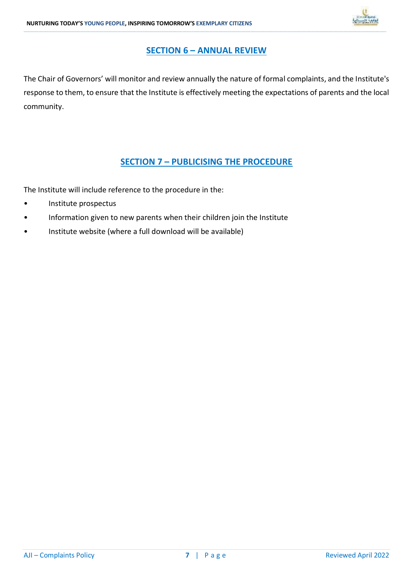

### **SECTION 6 – ANNUAL REVIEW**

**\_\_\_\_\_\_\_\_\_\_\_\_\_\_\_\_\_\_\_\_\_\_\_\_\_\_\_\_\_\_\_\_\_\_\_\_\_\_\_\_\_\_\_\_\_\_\_\_\_\_\_\_\_\_\_\_\_\_\_\_\_\_\_\_\_\_\_\_\_\_\_\_\_\_\_\_\_\_\_\_\_\_\_\_\_\_\_\_\_\_\_\_\_\_\_\_\_\_\_\_\_\_\_\_\_\_\_\_\_\_\_\_\_\_\_\_\_\_\_\_\_\_\_\_\_\_\_\_\_\_\_\_\_\_\_\_\_\_\_\_\_\_\_\_\_\_\_\_\_\_\_\_\_\_\_\_\_\_\_\_\_\_\_\_\_\_\_\_\_\_\_\_\_\_\_\_\_\_\_\_\_\_\_\_\_\_\_\_\_\_\_\_\_\_\_\_\_\_\_\_\_\_\_\_\_\_\_\_\_\_\_\_\_\_\_\_\_\_\_\_\_\_\_\_\_\_\_\_\_\_\_\_\_\_\_\_\_\_\_\_\_\_\_\_\_\_\_\_\_\_\_\_\_\_\_\_\_\_\_\_\_\_\_\_\_\_\_\_\_\_\_\_\_\_\_\_\_\_\_\_\_\_\_\_\_\_\_\_\_\_\_\_\_\_\_\_\_\_\_\_\_\_\_\_\_\_\_\_\_\_\_\_\_\_\_\_\_\_\_\_\_\_\_\_\_\_\_\_\_\_\_\_\_\_\_\_\_\_\_\_\_\_\_\_\_\_\_\_\_\_**

The Chair of Governors' will monitor and review annually the nature of formal complaints, and the Institute's response to them, to ensure that the Institute is effectively meeting the expectations of parents and the local community.

### **SECTION 7 – PUBLICISING THE PROCEDURE**

The Institute will include reference to the procedure in the:

- Institute prospectus
- Information given to new parents when their children join the Institute
- Institute website (where a full download will be available)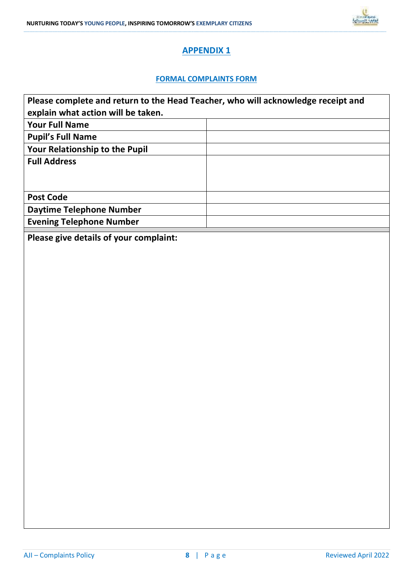

### **APPENDIX 1**

**\_\_\_\_\_\_\_\_\_\_\_\_\_\_\_\_\_\_\_\_\_\_\_\_\_\_\_\_\_\_\_\_\_\_\_\_\_\_\_\_\_\_\_\_\_\_\_\_\_\_\_\_\_\_\_\_\_\_\_\_\_\_\_\_\_\_\_\_\_\_\_\_\_\_\_\_\_\_\_\_\_\_\_\_\_\_\_\_\_\_\_\_\_\_\_\_\_\_\_\_\_\_\_\_\_\_\_\_\_\_\_\_\_\_\_\_\_\_\_\_\_\_\_\_\_\_\_\_\_\_\_\_\_\_\_\_\_\_\_\_\_\_\_\_\_\_\_\_\_\_\_\_\_\_\_\_\_\_\_\_\_\_\_\_\_\_\_\_\_\_\_\_\_\_\_\_\_\_\_\_\_\_\_\_\_\_\_\_\_\_\_\_\_\_\_\_\_\_\_\_\_\_\_\_\_\_\_\_\_\_\_\_\_\_\_\_\_\_\_\_\_\_\_\_\_\_\_\_\_\_\_\_\_\_\_\_\_\_\_\_\_\_\_\_\_\_\_\_\_\_\_\_\_\_\_\_\_\_\_\_\_\_\_\_\_\_\_\_\_\_\_\_\_\_\_\_\_\_\_\_\_\_\_\_\_\_\_\_\_\_\_\_\_\_\_\_\_\_\_\_\_\_\_\_\_\_\_\_\_\_\_\_\_\_\_\_\_\_\_\_\_\_\_\_\_\_\_\_\_\_\_\_\_\_\_\_\_\_\_\_\_\_\_\_\_\_\_\_\_\_**

### **FORMAL COMPLAINTS FORM**

| Please complete and return to the Head Teacher, who will acknowledge receipt and |
|----------------------------------------------------------------------------------|
|                                                                                  |
|                                                                                  |
|                                                                                  |
|                                                                                  |
|                                                                                  |
|                                                                                  |
|                                                                                  |
|                                                                                  |
|                                                                                  |
|                                                                                  |
|                                                                                  |

**Please give details of your complaint:**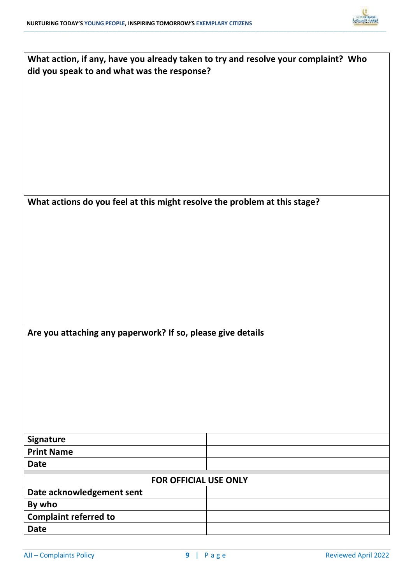

| What action, if any, have you already taken to try and resolve your complaint? Who<br>did you speak to and what was the response? |  |  |
|-----------------------------------------------------------------------------------------------------------------------------------|--|--|
|                                                                                                                                   |  |  |
|                                                                                                                                   |  |  |
|                                                                                                                                   |  |  |
|                                                                                                                                   |  |  |
|                                                                                                                                   |  |  |
|                                                                                                                                   |  |  |
|                                                                                                                                   |  |  |
|                                                                                                                                   |  |  |
| What actions do you feel at this might resolve the problem at this stage?                                                         |  |  |
|                                                                                                                                   |  |  |
|                                                                                                                                   |  |  |
|                                                                                                                                   |  |  |
|                                                                                                                                   |  |  |
|                                                                                                                                   |  |  |
|                                                                                                                                   |  |  |
|                                                                                                                                   |  |  |
|                                                                                                                                   |  |  |
|                                                                                                                                   |  |  |
| Are you attaching any paperwork? If so, please give details                                                                       |  |  |
|                                                                                                                                   |  |  |
|                                                                                                                                   |  |  |
|                                                                                                                                   |  |  |
|                                                                                                                                   |  |  |
|                                                                                                                                   |  |  |
|                                                                                                                                   |  |  |
| <b>Signature</b>                                                                                                                  |  |  |
| <b>Print Name</b>                                                                                                                 |  |  |
| <b>Date</b>                                                                                                                       |  |  |
| <b>FOR OFFICIAL USE ONLY</b>                                                                                                      |  |  |
| Date acknowledgement sent                                                                                                         |  |  |
| By who                                                                                                                            |  |  |
| <b>Complaint referred to</b>                                                                                                      |  |  |
| <b>Date</b>                                                                                                                       |  |  |

**\_\_\_\_\_\_\_\_\_\_\_\_\_\_\_\_\_\_\_\_\_\_\_\_\_\_\_\_\_\_\_\_\_\_\_\_\_\_\_\_\_\_\_\_\_\_\_\_\_\_\_\_\_\_\_\_\_\_\_\_\_\_\_\_\_\_\_\_\_\_\_\_\_\_\_\_\_\_\_\_\_\_\_\_\_\_\_\_\_\_\_\_\_\_\_\_\_\_\_\_\_\_\_\_\_\_\_\_\_\_\_\_\_\_\_\_\_\_\_\_\_\_\_\_\_\_\_\_\_\_\_\_\_\_\_\_\_\_\_\_\_\_\_\_\_\_\_\_\_\_\_\_\_\_\_\_\_\_\_\_\_\_\_\_\_\_\_\_\_\_\_\_\_\_\_\_\_\_\_\_\_\_\_\_\_\_\_\_\_\_\_\_\_\_\_\_\_\_\_\_\_\_\_\_\_\_\_\_\_\_\_\_\_\_\_\_\_\_\_\_\_\_\_\_\_\_\_\_\_\_\_\_\_\_\_\_\_\_\_\_\_\_\_\_\_\_\_\_\_\_\_\_\_\_\_\_\_\_\_\_\_\_\_\_\_\_\_\_\_\_\_\_\_\_\_\_\_\_\_\_\_\_\_\_\_\_\_\_\_\_\_\_\_\_\_\_\_\_\_\_\_\_\_\_\_\_\_\_\_\_\_\_\_\_\_\_\_\_\_\_\_\_\_\_\_\_\_\_\_\_\_\_\_\_\_\_\_\_\_\_\_\_\_\_\_\_\_\_\_\_**